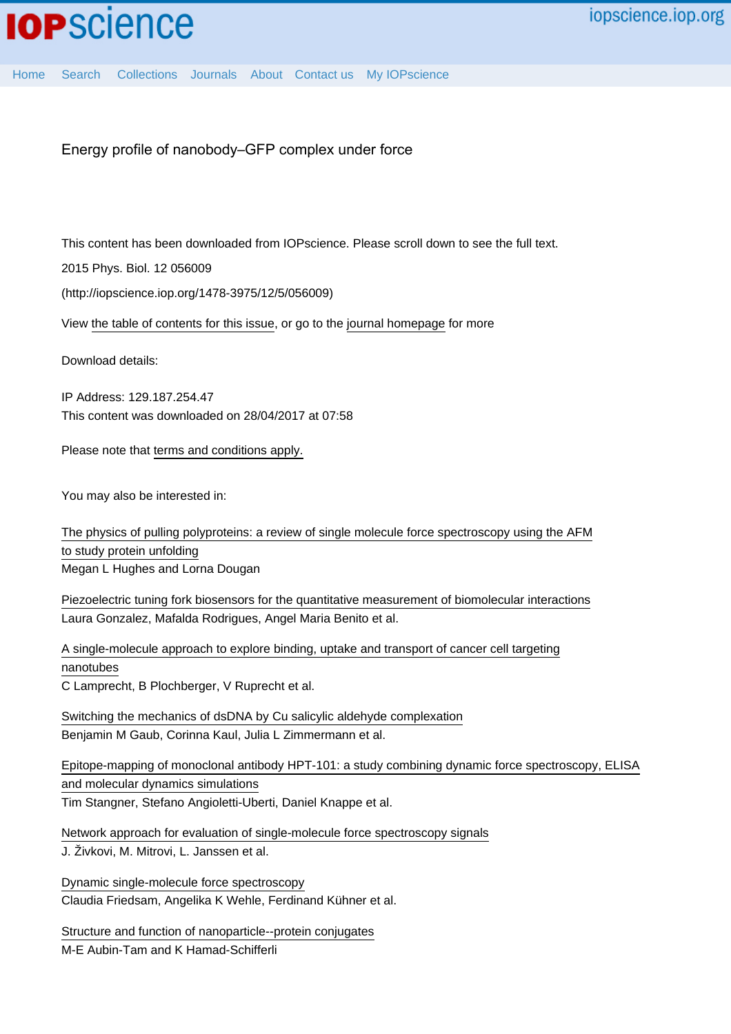Energy profile of nanobody–GFP complex under force

This content has been downloaded from IOPscience. Please scroll down to see the full text.

2015 Phys. Biol. 12 056009

(http://iopscience.iop.org/1478-3975/12/5/056009)

View [the table of contents for this issue](http://iopscience.iop.org/1478-3975/12/5), or go to the [journal homepage](http://iopscience.iop.org/1478-3975) for more

Download details:

IP Address: 129.187.254.47 This content was downloaded on 28/04/2017 at 07:58

Please note that [terms and conditions apply.](http://iopscience.iop.org/page/terms)

You may also be interested in:

[The physics of pulling polyproteins: a review of single molecule force spectroscopy using the AFM](http://iopscience.iop.org/article/10.1088/0034-4885/79/7/076601) [to study protein unfolding](http://iopscience.iop.org/article/10.1088/0034-4885/79/7/076601) Megan L Hughes and Lorna Dougan

[Piezoelectric tuning fork biosensors for the quantitative measurement of biomolecular interactions](http://iopscience.iop.org/article/10.1088/0957-4484/26/49/495502) Laura Gonzalez, Mafalda Rodrigues, Angel Maria Benito et al.

[A single-molecule approach to explore binding, uptake and transport of cancer cell targeting](http://iopscience.iop.org/article/10.1088/0957-4484/25/12/125704) [nanotubes](http://iopscience.iop.org/article/10.1088/0957-4484/25/12/125704) C Lamprecht, B Plochberger, V Ruprecht et al.

[Switching the mechanics of dsDNA by Cu salicylic aldehyde complexation](http://iopscience.iop.org/article/10.1088/0957-4484/20/43/434002) Benjamin M Gaub, Corinna Kaul, Julia L Zimmermann et al.

[Epitope-mapping of monoclonal antibody HPT-101: a study combining dynamic force spectroscopy, ELISA](http://iopscience.iop.org/article/10.1088/1478-3975/12/6/066018) [and molecular dynamics simulations](http://iopscience.iop.org/article/10.1088/1478-3975/12/6/066018) Tim Stangner, Stefano Angioletti-Uberti, Daniel Knappe et al.

[Network approach for evaluation of single-molecule force spectroscopy signals](http://iopscience.iop.org/article/10.1209/0295-5075/89/68004) J. Živkovi, M. Mitrovi, L. Janssen et al.

[Dynamic single-molecule force spectroscopy](http://iopscience.iop.org/article/10.1088/0953-8984/15/18/305) Claudia Friedsam, Angelika K Wehle, Ferdinand Kühner et al.

[Structure and function of nanoparticle--protein conjugates](http://iopscience.iop.org/article/10.1088/1748-6041/3/3/034001) M-E Aubin-Tam and K Hamad-Schifferli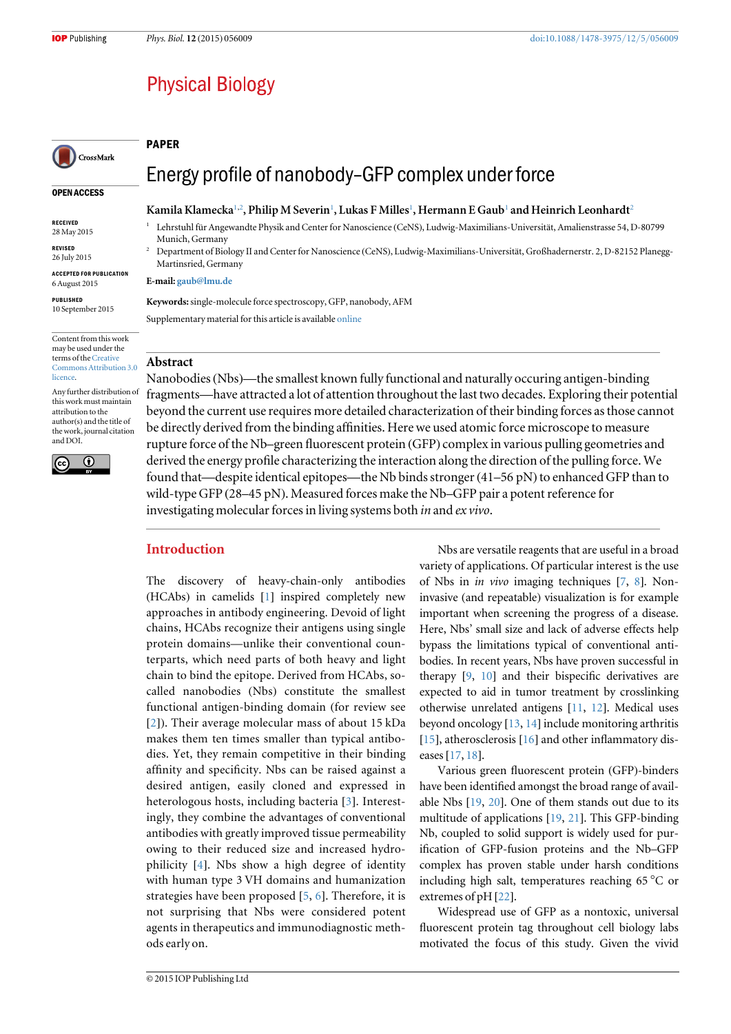## **Physical Biology**

#### PAPER

# CrossMark

#### OPEN ACCESS

RECEIVED 28 May 2015

REVISED

26 July 2015

ACCEPTED FOR PUBLICATION 6 August 2015

PUBLISHED 10 September 2015

Content from this work may be used under the terms of the [Creative](http://creativecommons.org/licenses/by/3.0) [Commons Attribution 3.0](http://creativecommons.org/licenses/by/3.0) **licence** 

Any further distribution of this work must maintain attribution to the author(s) and the title of the work, journal citation and DOI.



Energy profile of nanobody–GFP complex under force

## Kamila Klamecka<sup>1,2</sup>, Philip M Severin<sup>1</sup>, Lukas F Milles<sup>1</sup>, Hermann E Gaub<sup>1</sup> and Heinrich Leonhardt<sup>2</sup>

- <sup>1</sup> Lehrstuhl für Angewandte Physik and Center for Nanoscience (CeNS), Ludwig-Maximilians-Universität, Amalienstrasse 54, D-80799 Munich, Germany
- <sup>2</sup> Department of Biology II and Center for Nanoscience (CeNS), Ludwig-Maximilians-Universität, Großhadernerstr. 2, D-82152 Planegg-Martinsried, Germany

#### E-mail: [gaub@lmu.de](mailto:gaub@lmu.de)

Keywords: single-molecule force spectroscopy, GFP, nanobody, AFM Supplementary material for this article is available [online](http://dx.doi.org/10.1088/1478-3975/12/5/056009)

## Abstract

Nanobodies(Nbs)—the smallest known fully functional and naturally occuring antigen-binding fragments—have attracted a lot of attention throughout the last two decades. Exploring their potential beyond the current use requires more detailed characterization of their binding forces as those cannot be directly derived from the binding affinities. Here we used atomic force microscope to measure rupture force of the Nb–green fluorescent protein (GFP) complex in various pulling geometries and derived the energy profile characterizing the interaction along the direction of the pulling force. We found that—despite identical epitopes—the Nb binds stronger  $(41–56 \text{ pN})$  to enhanced GFP than to wild-type GFP (28–45 pN). Measured forces make the Nb–GFP pair a potent reference for investigating molecular forces in living systems both in and ex vivo.

## Introduction

The discovery of heavy-chain-only antibodies (HCAbs) in camelids [[1](#page-7-0)] inspired completely new approaches in antibody engineering. Devoid of light chains, HCAbs recognize their antigens using single protein domains—unlike their conventional counterparts, which need parts of both heavy and light chain to bind the epitope. Derived from HCAbs, socalled nanobodies (Nbs) constitute the smallest functional antigen-binding domain (for review see [[2](#page-7-0)]). Their average molecular mass of about 15 kDa makes them ten times smaller than typical antibodies. Yet, they remain competitive in their binding affinity and specificity. Nbs can be raised against a desired antigen, easily cloned and expressed in heterologous hosts, including bacteria [[3](#page-7-0)]. Interestingly, they combine the advantages of conventional antibodies with greatly improved tissue permeability owing to their reduced size and increased hydrophilicity [[4](#page-7-0)]. Nbs show a high degree of identity with human type 3 VH domains and humanization strategies have been proposed [[5,](#page-7-0) [6](#page-7-0)]. Therefore, it is not surprising that Nbs were considered potent agents in therapeutics and immunodiagnostic methods early on.

Nbs are versatile reagents that are useful in a broad variety of applications. Of particular interest is the use of Nbs in in vivo imaging techniques [[7,](#page-7-0) [8](#page-7-0)]. Noninvasive (and repeatable) visualization is for example important when screening the progress of a disease. Here, Nbs' small size and lack of adverse effects help bypass the limitations typical of conventional antibodies. In recent years, Nbs have proven successful in therapy [[9](#page-7-0), [10](#page-7-0)] and their bispecific derivatives are expected to aid in tumor treatment by crosslinking otherwise unrelated antigens [[11](#page-7-0), [12](#page-7-0)]. Medical uses beyond oncology [[13,](#page-7-0) [14](#page-7-0)] include monitoring arthritis [[15](#page-7-0)], atherosclerosis [[16](#page-7-0)] and other inflammatory diseases[[17,](#page-7-0) [18](#page-7-0)].

Various green fluorescent protein (GFP)-binders have been identified amongst the broad range of available Nbs [[19](#page-7-0), [20](#page-7-0)]. One of them stands out due to its multitude of applications [[19,](#page-7-0) [21](#page-7-0)]. This GFP-binding Nb, coupled to solid support is widely used for purification of GFP-fusion proteins and the Nb–GFP complex has proven stable under harsh conditions including high salt, temperatures reaching 65 °C or extremes of pH [[22](#page-7-0)].

Widespread use of GFP as a nontoxic, universal fluorescent protein tag throughout cell biology labs motivated the focus of this study. Given the vivid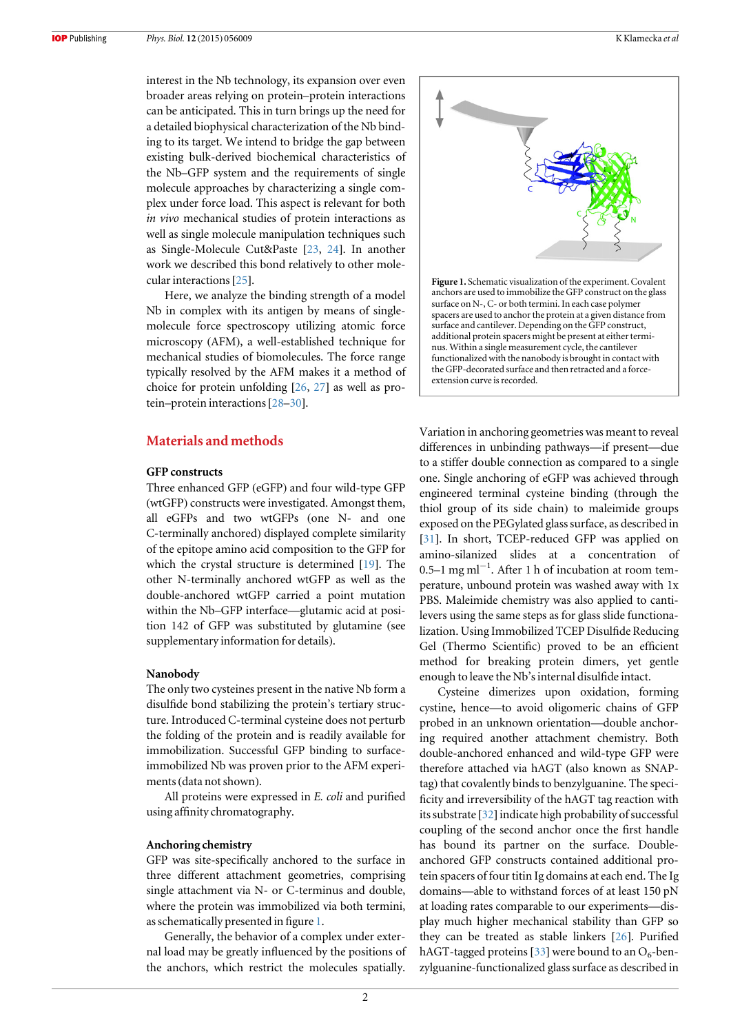interest in the Nb technology, its expansion over even broader areas relying on protein–protein interactions can be anticipated. This in turn brings up the need for a detailed biophysical characterization of the Nb binding to its target. We intend to bridge the gap between existing bulk-derived biochemical characteristics of the Nb–GFP system and the requirements of single molecule approaches by characterizing a single complex under force load. This aspect is relevant for both in vivo mechanical studies of protein interactions as well as single molecule manipulation techniques such as Single-Molecule Cut&Paste [[23,](#page-7-0) [24](#page-7-0)]. In another work we described this bond relatively to other molecular interactions[[25](#page-7-0)].

Here, we analyze the binding strength of a model Nb in complex with its antigen by means of singlemolecule force spectroscopy utilizing atomic force microscopy (AFM), a well-established technique for mechanical studies of biomolecules. The force range typically resolved by the AFM makes it a method of choice for protein unfolding [[26,](#page-7-0) [27](#page-7-0)] as well as protein–protein interactions[[28](#page-7-0)–[30](#page-7-0)].

## Materials and methods

#### GFP constructs

Three enhanced GFP (eGFP) and four wild-type GFP (wtGFP) constructs were investigated. Amongst them, all eGFPs and two wtGFPs (one N- and one C-terminally anchored) displayed complete similarity of the epitope amino acid composition to the GFP for which the crystal structure is determined [[19](#page-7-0)]. The other N-terminally anchored wtGFP as well as the double-anchored wtGFP carried a point mutation within the Nb–GFP interface—glutamic acid at position 142 of GFP was substituted by glutamine (see supplementary information for details).

#### Nanobody

The only two cysteines present in the native Nb form a disulfide bond stabilizing the protein's tertiary structure. Introduced C-terminal cysteine does not perturb the folding of the protein and is readily available for immobilization. Successful GFP binding to surfaceimmobilized Nb was proven prior to the AFM experiments(data not shown).

All proteins were expressed in E. coli and purified using affinity chromatography.

#### Anchoring chemistry

GFP was site-specifically anchored to the surface in three different attachment geometries, comprising single attachment via N- or C-terminus and double, where the protein was immobilized via both termini, as schematically presented in figure 1.

Generally, the behavior of a complex under external load may be greatly influenced by the positions of the anchors, which restrict the molecules spatially.



Variation in anchoring geometries was meant to reveal differences in unbinding pathways—if present—due to a stiffer double connection as compared to a single one. Single anchoring of eGFP was achieved through engineered terminal cysteine binding (through the thiol group of its side chain) to maleimide groups exposed on the PEGylated glass surface, as described in [[31](#page-7-0)]. In short, TCEP-reduced GFP was applied on amino-silanized slides at a concentration of 0.5–1 mg ml<sup>-1</sup>. After 1 h of incubation at room temperature, unbound protein was washed away with 1x PBS. Maleimide chemistry was also applied to cantilevers using the same steps as for glass slide functionalization. Using Immobilized TCEP Disulfide Reducing Gel (Thermo Scientific) proved to be an efficient method for breaking protein dimers, yet gentle enough to leave the Nb's internal disulfide intact.

Cysteine dimerizes upon oxidation, forming cystine, hence—to avoid oligomeric chains of GFP probed in an unknown orientation—double anchoring required another attachment chemistry. Both double-anchored enhanced and wild-type GFP were therefore attached via hAGT (also known as SNAPtag) that covalently binds to benzylguanine. The specificity and irreversibility of the hAGT tag reaction with its substrate [[32](#page-7-0)] indicate high probability of successful coupling of the second anchor once the first handle has bound its partner on the surface. Doubleanchored GFP constructs contained additional protein spacers of four titin Ig domains at each end. The Ig domains—able to withstand forces of at least 150 pN at loading rates comparable to our experiments—display much higher mechanical stability than GFP so they can be treated as stable linkers [[26](#page-7-0)]. Purified hAGT-tagged proteins [[33](#page-7-0)] were bound to an  $O_6$ -benzylguanine-functionalized glass surface as described in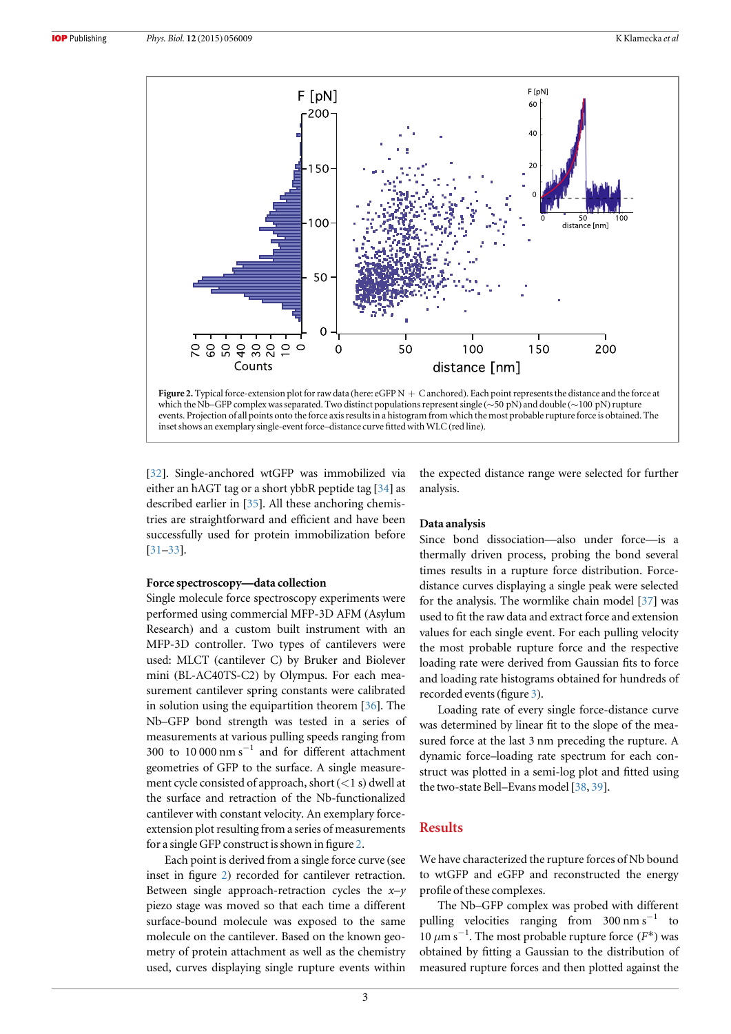

[[32](#page-7-0)]. Single-anchored wtGFP was immobilized via either an hAGT tag or a short ybbR peptide tag [[34](#page-7-0)] as described earlier in [[35](#page-7-0)]. All these anchoring chemistries are straightforward and efficient and have been successfully used for protein immobilization before [[31](#page-7-0)–[33](#page-7-0)].

#### Force spectroscopy—data collection

Single molecule force spectroscopy experiments were performed using commercial MFP-3D AFM (Asylum Research) and a custom built instrument with an MFP-3D controller. Two types of cantilevers were used: MLCT (cantilever C) by Bruker and Biolever mini (BL-AC40TS-C2) by Olympus. For each measurement cantilever spring constants were calibrated in solution using the equipartition theorem [[36](#page-7-0)]. The Nb–GFP bond strength was tested in a series of measurements at various pulling speeds ranging from 300 to  $10\,000$  nm s<sup>-1</sup> and for different attachment geometries of GFP to the surface. A single measurement cycle consisted of approach, short  $(<1 s)$  dwell at the surface and retraction of the Nb-functionalized cantilever with constant velocity. An exemplary forceextension plot resulting from a series of measurements for a single GFP construct is shown in figure 2.

Each point is derived from a single force curve (see inset in figure 2) recorded for cantilever retraction. Between single approach-retraction cycles the  $x-y$ piezo stage was moved so that each time a different surface-bound molecule was exposed to the same molecule on the cantilever. Based on the known geometry of protein attachment as well as the chemistry used, curves displaying single rupture events within the expected distance range were selected for further analysis.

#### Data analysis

Since bond dissociation—also under force—is a thermally driven process, probing the bond several times results in a rupture force distribution. Forcedistance curves displaying a single peak were selected for the analysis. The wormlike chain model [[37](#page-7-0)] was used to fit the raw data and extract force and extension values for each single event. For each pulling velocity the most probable rupture force and the respective loading rate were derived from Gaussian fits to force and loading rate histograms obtained for hundreds of recorded events(figure [3](#page-4-0)).

Loading rate of every single force-distance curve was determined by linear fit to the slope of the measured force at the last 3 nm preceding the rupture. A dynamic force–loading rate spectrum for each construct was plotted in a semi-log plot and fitted using the two-state Bell–Evans model [[38,](#page-7-0) [39](#page-7-0)].

## Results

We have characterized the rupture forces of Nb bound to wtGFP and eGFP and reconstructed the energy profile of these complexes.

The Nb–GFP complex was probed with different pulling velocities ranging from  $300 \text{ nm s}^{-1}$  to 10 μm s−<sup>1</sup> . The most probable rupture force (*F*\*) was obtained by fitting a Gaussian to the distribution of measured rupture forces and then plotted against the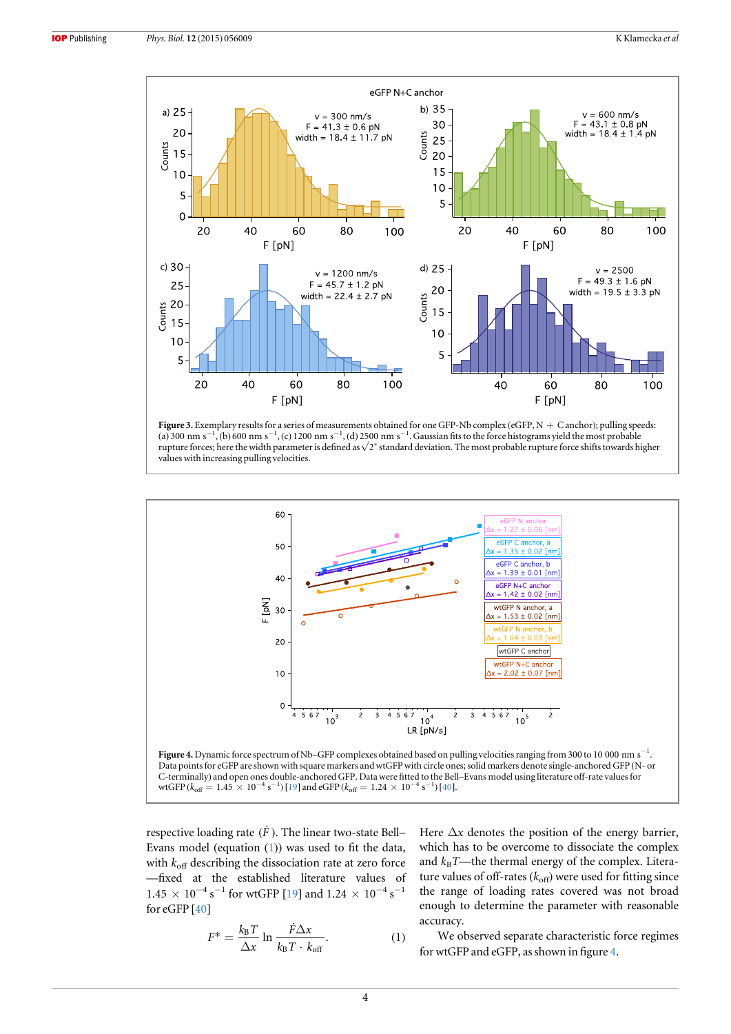<span id="page-4-0"></span>

Figure 3. Exemplary results for a series of measurements obtained for one GFP-Nb complex (eGFP,  $N + C$  anchor); pulling speeds: (a) 300 nm s<sup>-1</sup>, (b) 600 nm s<sup>-1</sup>, (c) 1200 nm s<sup>-1</sup>, (d) 2500 nm s<sup>-1</sup>. Gaussian fits to the force histograms yield the most probable rupture forces; here the width parameter is defined as √2\* standard deviation. The most probable rupture force shifts towards higher values with increasing pulling velocities.





respective loading rate  $(\dot{F})$ . The linear two-state Bell– Evans model (equation (1)) was used to fit the data, with  $k_{\text{off}}$  describing the dissociation rate at zero force —fixed at the established literature values of  $1.45 \times 10^{-4}$  s<sup>-1</sup> for wtGFP [[19](#page-7-0)] and  $1.24 \times 10^{-4}$  s<sup>-1</sup> for eGFP [[40](#page-7-0)]

$$
F^* = \frac{k_{\rm B}T}{\Delta x} \ln \frac{\dot{F}\Delta x}{k_{\rm B}T \cdot k_{\rm off}}.
$$
 (1)

Here  $\Delta x$  denotes the position of the energy barrier, which has to be overcome to dissociate the complex and  $k_B$ T—the thermal energy of the complex. Literature values of off-rates  $(k_{\text{off}})$  were used for fitting since the range of loading rates covered was not broad enough to determine the parameter with reasonable accuracy.

We observed separate characteristic force regimes for wtGFP and eGFP, as shown in figure 4.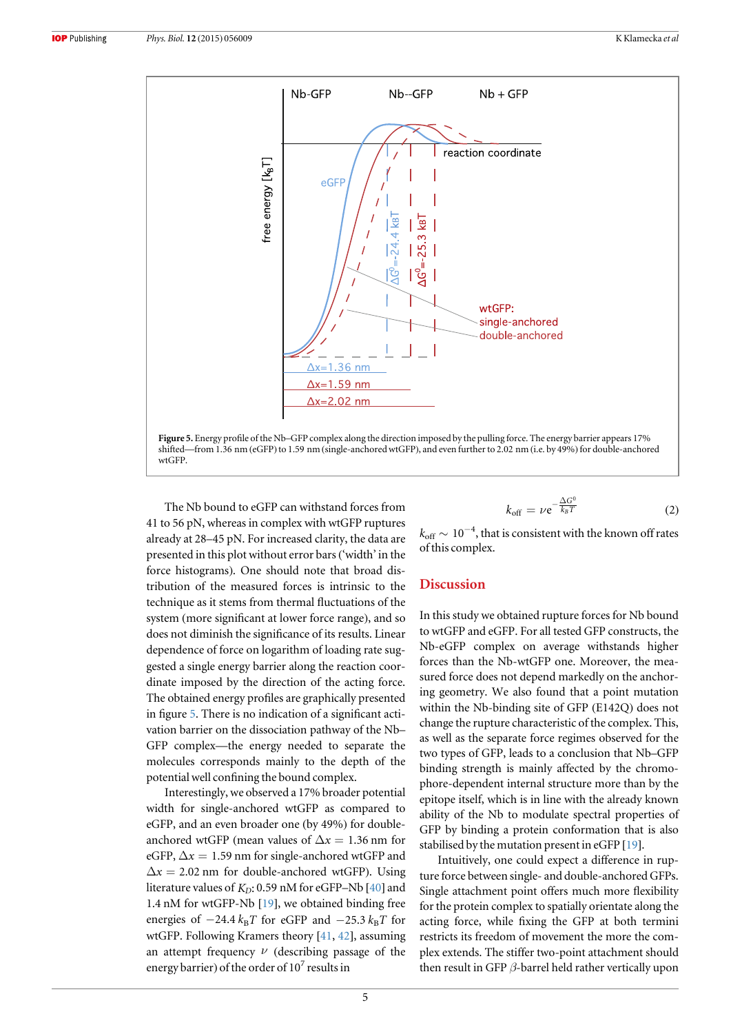

The Nb bound to eGFP can withstand forces from 41 to 56 pN, whereas in complex with wtGFP ruptures already at 28–45 pN. For increased clarity, the data are presented in this plot without error bars ('width' in the force histograms). One should note that broad distribution of the measured forces is intrinsic to the technique as it stems from thermal fluctuations of the system (more significant at lower force range), and so does not diminish the significance of its results. Linear dependence of force on logarithm of loading rate suggested a single energy barrier along the reaction coordinate imposed by the direction of the acting force. The obtained energy profiles are graphically presented in figure 5. There is no indication of a significant activation barrier on the dissociation pathway of the Nb– GFP complex—the energy needed to separate the molecules corresponds mainly to the depth of the potential well confining the bound complex.

Interestingly, we observed a 17% broader potential width for single-anchored wtGFP as compared to eGFP, and an even broader one (by 49%) for doubleanchored wtGFP (mean values of  $\Delta x = 1.36$  nm for eGFP,  $\Delta x = 1.59$  nm for single-anchored wtGFP and  $\Delta x = 2.02$  nm for double-anchored wtGFP). Using literature values of  $K_D$ : 0.59 nM for eGFP–Nb  $[40]$  $[40]$  $[40]$  and 1.4 nM for wtGFP-Nb [[19](#page-7-0)], we obtained binding free energies of  $-24.4 k_B T$  for eGFP and  $-25.3 k_B T$  for wtGFP. Following Kramers theory [[41,](#page-8-0) [42](#page-8-0)], assuming an attempt frequency  $\nu$  (describing passage of the energy barrier) of the order of  $10^7$  results in

$$
k_{\text{off}} = \nu e^{-\frac{\Delta G^0}{k_B T}} \tag{2}
$$

 $k_{\rm off} \sim 10^{-4}$ , that is consistent with the known off rates of this complex.

## Discussion

In this study we obtained rupture forces for Nb bound to wtGFP and eGFP. For all tested GFP constructs, the Nb-eGFP complex on average withstands higher forces than the Nb-wtGFP one. Moreover, the measured force does not depend markedly on the anchoring geometry. We also found that a point mutation within the Nb-binding site of GFP (E142Q) does not change the rupture characteristic of the complex. This, as well as the separate force regimes observed for the two types of GFP, leads to a conclusion that Nb–GFP binding strength is mainly affected by the chromophore-dependent internal structure more than by the epitope itself, which is in line with the already known ability of the Nb to modulate spectral properties of GFP by binding a protein conformation that is also stabilised by the mutation present in eGFP [[19](#page-7-0)].

Intuitively, one could expect a difference in rupture force between single- and double-anchored GFPs. Single attachment point offers much more flexibility for the protein complex to spatially orientate along the acting force, while fixing the GFP at both termini restricts its freedom of movement the more the complex extends. The stiffer two-point attachment should then result in GFP  $\beta$ -barrel held rather vertically upon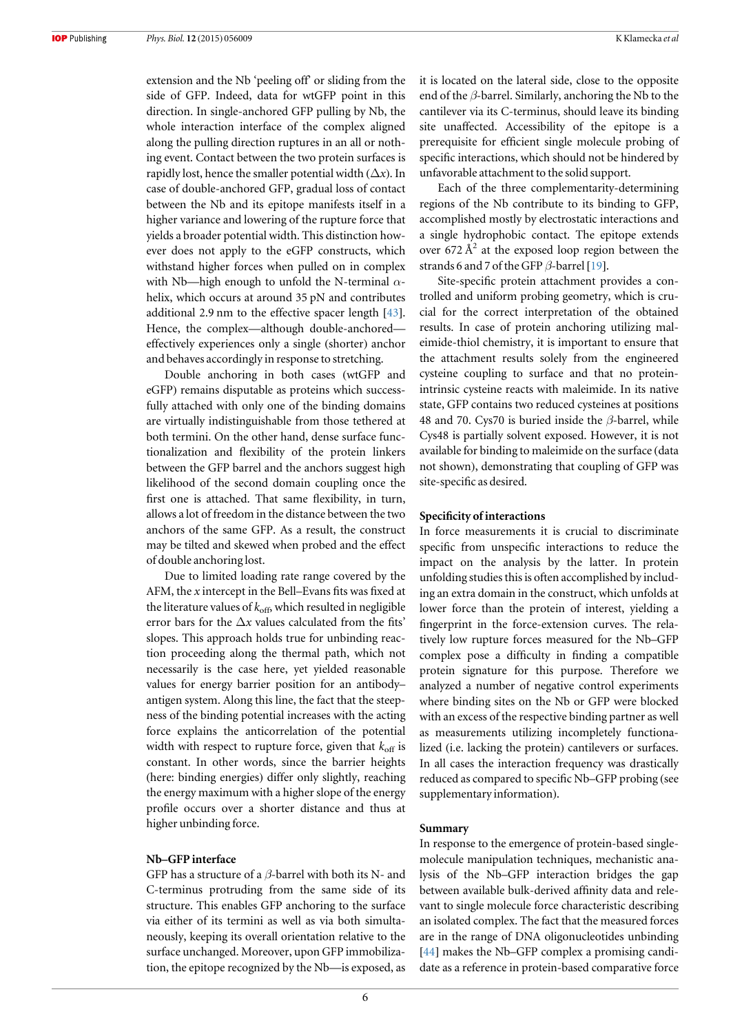extension and the Nb 'peeling off' or sliding from the side of GFP. Indeed, data for wtGFP point in this direction. In single-anchored GFP pulling by Nb, the whole interaction interface of the complex aligned along the pulling direction ruptures in an all or nothing event. Contact between the two protein surfaces is rapidly lost, hence the smaller potential width  $(\Delta x)$ . In case of double-anchored GFP, gradual loss of contact between the Nb and its epitope manifests itself in a higher variance and lowering of the rupture force that yields a broader potential width. This distinction however does not apply to the eGFP constructs, which withstand higher forces when pulled on in complex with Nb—high enough to unfold the N-terminal  $\alpha$ helix, which occurs at around 35 pN and contributes additional 2.9 nm to the effective spacer length [[43](#page-8-0)]. Hence, the complex—although double-anchored effectively experiences only a single (shorter) anchor and behaves accordingly in response to stretching.

Double anchoring in both cases (wtGFP and eGFP) remains disputable as proteins which successfully attached with only one of the binding domains are virtually indistinguishable from those tethered at both termini. On the other hand, dense surface functionalization and flexibility of the protein linkers between the GFP barrel and the anchors suggest high likelihood of the second domain coupling once the first one is attached. That same flexibility, in turn, allows a lot of freedom in the distance between the two anchors of the same GFP. As a result, the construct may be tilted and skewed when probed and the effect of double anchoring lost.

Due to limited loading rate range covered by the AFM, the  $x$  intercept in the Bell–Evans fits was fixed at the literature values of  $k_{\text{off}}$ , which resulted in negligible error bars for the  $\Delta x$  values calculated from the fits' slopes. This approach holds true for unbinding reaction proceeding along the thermal path, which not necessarily is the case here, yet yielded reasonable values for energy barrier position for an antibody– antigen system. Along this line, the fact that the steepness of the binding potential increases with the acting force explains the anticorrelation of the potential width with respect to rupture force, given that  $k_{\text{off}}$  is constant. In other words, since the barrier heights (here: binding energies) differ only slightly, reaching the energy maximum with a higher slope of the energy profile occurs over a shorter distance and thus at higher unbinding force.

## Nb–GFP interface

GFP has a structure of a  $\beta$ -barrel with both its N- and C-terminus protruding from the same side of its structure. This enables GFP anchoring to the surface via either of its termini as well as via both simultaneously, keeping its overall orientation relative to the surface unchanged. Moreover, upon GFP immobilization, the epitope recognized by the Nb—is exposed, as it is located on the lateral side, close to the opposite end of the  $\beta$ -barrel. Similarly, anchoring the Nb to the cantilever via its C-terminus, should leave its binding site unaffected. Accessibility of the epitope is a prerequisite for efficient single molecule probing of specific interactions, which should not be hindered by unfavorable attachment to the solid support.

Each of the three complementarity-determining regions of the Nb contribute to its binding to GFP, accomplished mostly by electrostatic interactions and a single hydrophobic contact. The epitope extends over 672  $\AA^2$  at the exposed loop region between the strands 6 and 7 of the GFP  $\beta$ -barrel [[19](#page-7-0)].

Site-specific protein attachment provides a controlled and uniform probing geometry, which is crucial for the correct interpretation of the obtained results. In case of protein anchoring utilizing maleimide-thiol chemistry, it is important to ensure that the attachment results solely from the engineered cysteine coupling to surface and that no proteinintrinsic cysteine reacts with maleimide. In its native state, GFP contains two reduced cysteines at positions 48 and 70. Cys70 is buried inside the  $\beta$ -barrel, while Cys48 is partially solvent exposed. However, it is not available for binding to maleimide on the surface (data not shown), demonstrating that coupling of GFP was site-specific as desired.

#### Specificity of interactions

In force measurements it is crucial to discriminate specific from unspecific interactions to reduce the impact on the analysis by the latter. In protein unfolding studies this is often accomplished by including an extra domain in the construct, which unfolds at lower force than the protein of interest, yielding a fingerprint in the force-extension curves. The relatively low rupture forces measured for the Nb–GFP complex pose a difficulty in finding a compatible protein signature for this purpose. Therefore we analyzed a number of negative control experiments where binding sites on the Nb or GFP were blocked with an excess of the respective binding partner as well as measurements utilizing incompletely functionalized (i.e. lacking the protein) cantilevers or surfaces. In all cases the interaction frequency was drastically reduced as compared to specific Nb–GFP probing (see supplementary information).

#### Summary

In response to the emergence of protein-based singlemolecule manipulation techniques, mechanistic analysis of the Nb–GFP interaction bridges the gap between available bulk-derived affinity data and relevant to single molecule force characteristic describing an isolated complex. The fact that the measured forces are in the range of DNA oligonucleotides unbinding [[44](#page-8-0)] makes the Nb–GFP complex a promising candidate as a reference in protein-based comparative force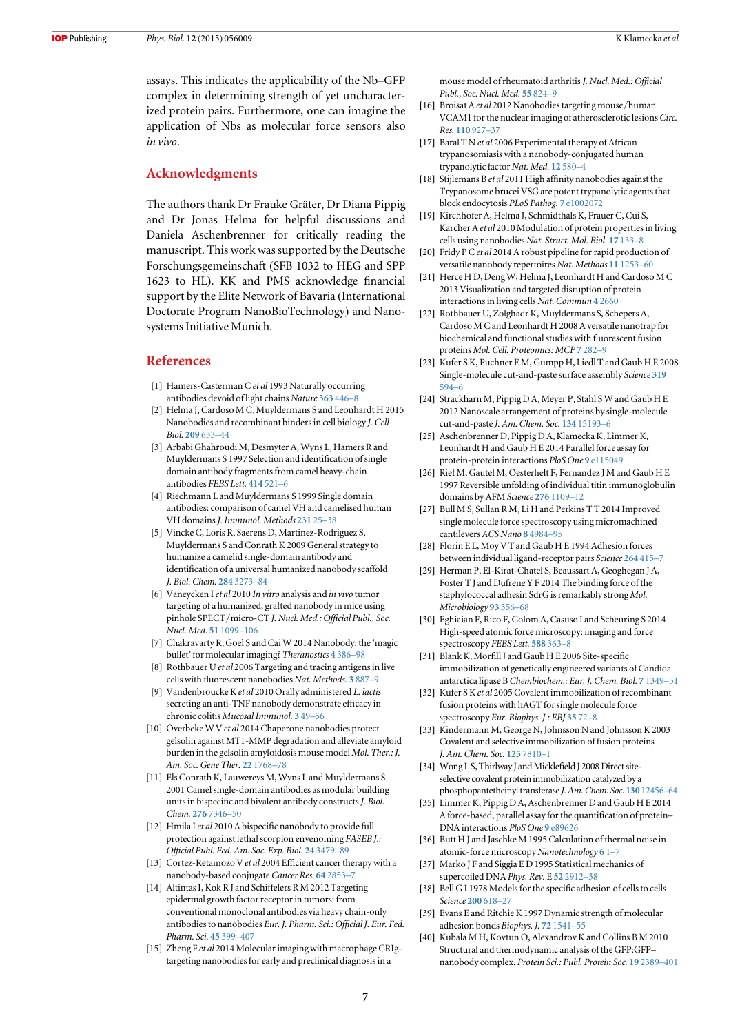<span id="page-7-0"></span>assays. This indicates the applicability of the Nb–GFP complex in determining strength of yet uncharacterized protein pairs. Furthermore, one can imagine the application of Nbs as molecular force sensors also in vivo.

## Acknowledgments

The authors thank Dr Frauke Gräter, Dr Diana Pippig and Dr Jonas Helma for helpful discussions and Daniela Aschenbrenner for critically reading the manuscript. This work was supported by the Deutsche Forschungsgemeinschaft (SFB 1032 to HEG and SPP 1623 to HL). KK and PMS acknowledge financial support by the Elite Network of Bavaria (International Doctorate Program NanoBioTechnology) and Nanosystems Initiative Munich.

#### References

- [1] Hamers-Casterman C et al 1993 Naturally occurring antibodies devoid of light chains Nature [363](http://dx.doi.org/10.1038/363446a0) 446–8
- [2] Helma J, Cardoso M C, Muyldermans S and Leonhardt H 2015 Nanobodies and recombinant binders in cell biology J. Cell Biol. [209](http://dx.doi.org/10.1083/jcb.201409074) 633–44
- [3] Arbabi Ghahroudi M, Desmyter A, Wyns L, Hamers R and Muyldermans S 1997 Selection and identification of single domain antibody fragments from camel heavy-chain antibodies FEBS Lett. [414](http://dx.doi.org/10.1016/S0014-5793(97)01062-4) 521–6
- [4] Riechmann L and Muyldermans S 1999 Single domain antibodies: comparison of camel VH and camelised human VH domains J. Immunol. Methods [231](http://dx.doi.org/10.1016/S0022-1759(99)00138-6) 25-38
- [5] Vincke C, Loris R, Saerens D, Martinez-Rodriguez S, Muyldermans S and Conrath K 2009 General strategy to humanize a camelid single-domain antibody and identification of a universal humanized nanobody scaffold J. Biol. Chem. 284 [3273](http://dx.doi.org/10.1074/jbc.M806889200)–84
- [6] Vaneycken I et al 2010 In vitro analysis and in vivo tumor targeting of a humanized, grafted nanobody in mice using pinhole SPECT/micro-CT J. Nucl. Med.: Official Publ., Soc. Nucl. Med. 51 [1099](http://dx.doi.org/10.2967/jnumed.109.069823)–106
- [7] Chakravarty R, Goel S and Cai W 2014 Nanobody: the 'magic bullet' for molecular imaging? Theranostics 4 [386](http://dx.doi.org/10.7150/thno.8006)–98
- Rothbauer U et al 2006 Targeting and tracing antigens in live cells with fluorescent nanobodies Nat. Methods. 3 [887](http://dx.doi.org/10.1038/nmeth953)–9
- [9] Vandenbroucke K et al 2010 Orally administered L. lactis secreting an anti-TNF nanobody demonstrate efficacy in chronic colitis Mucosal Immunol. 3 [49](http://dx.doi.org/10.1038/mi.2009.116)–56
- [10] Overbeke W V et al 2014 Chaperone nanobodies protect gelsolin against MT1-MMP degradation and alleviate amyloid burden in the gelsolin amyloidosis mouse model Mol. Ther.: J. Am. Soc. Gene Ther. 22 [1768](http://dx.doi.org/10.1038/mt.2014.132)–78
- [11] Els Conrath K, Lauwereys M, Wyns L and Muyldermans S 2001 Camel single-domain antibodies as modular building units in bispecific and bivalent antibody constructs J. Biol. Chem. 276 [7346](http://dx.doi.org/10.1074/jbc.M007734200)–50
- [12] Hmila I et al 2010 A bispecific nanobody to provide full protection against lethal scorpion envenoming FASEB J.: Official Publ. Fed. Am. Soc. Exp. Biol. 24 [3479](http://dx.doi.org/10.1096/fj.09-148213)–89
- [13] Cortez-Retamozo V et al 2004 Efficient cancer therapy with a nanobody-based conjugate Cancer Res. 64 [2853](http://dx.doi.org/10.1158/0008-5472.CAN-03-3935)–7
- [14] Altintas I, Kok R J and Schiffelers R M 2012 Targeting epidermal growth factor receptor in tumors: from conventional monoclonal antibodies via heavy chain-only antibodies to nanobodies Eur. J. Pharm. Sci.: Official J. Eur. Fed. Pharm. Sci. 45 [399](http://dx.doi.org/10.1016/j.ejps.2011.10.015)–407
- [15] Zheng F et al 2014 Molecular imaging with macrophage CRIgtargeting nanobodies for early and preclinical diagnosis in a

mouse model of rheumatoid arthritis J. Nucl. Med.: Official Publ., Soc. Nucl. Med. 55 [824](http://dx.doi.org/10.2967/jnumed.113.130617)–9

- [16] Broisat A et al 2012 Nanobodies targeting mouse/human VCAM1 for the nuclear imaging of atherosclerotic lesions Circ. Res. [110](http://dx.doi.org/10.1161/CIRCRESAHA.112.265140) 927–37
- [17] Baral T N et al 2006 Experimental therapy of African trypanosomiasis with a nanobody-conjugated human trypanolytic factor Nat. Med. 12 [580](http://dx.doi.org/10.1038/nm1395)–4
- [18] Stijlemans B et al 2011 High affinity nanobodies against the Trypanosome brucei VSG are potent trypanolytic agents that block endocytosis PLoS Pathog. 7 [e1002072](http://dx.doi.org/10.1371/journal.ppat.1002072)
- [19] Kirchhofer A, Helma J, Schmidthals K, Frauer C, Cui S, Karcher A et al 2010 Modulation of protein properties in living cells using nanobodies Nat. Struct. Mol. Biol. 17 [133](http://dx.doi.org/10.1038/nsmb.1727)–8
- [20] Fridy P C et al 2014 A robust pipeline for rapid production of versatile nanobody repertoires Nat. Methods 11 [1253](http://dx.doi.org/10.1038/nmeth.3170)–60
- [21] Herce H D, Deng W, Helma J, Leonhardt H and Cardoso M C 2013 Visualization and targeted disruption of protein interactions in living cells Nat. Commun 4 [2660](http://dx.doi.org/10.1038/ncomms3660)
- [22] Rothbauer U, Zolghadr K, Muyldermans S, Schepers A, Cardoso M C and Leonhardt H 2008 A versatile nanotrap for biochemical and functional studies with fluorescent fusion proteins Mol. Cell. Proteomics: MCP 7 [282](http://dx.doi.org/10.1074/mcp.M700342-MCP200)–9
- [23] Kufer S K, Puchner E M, Gumpp H, Liedl T and Gaub H E 2008 Single-molecule cut-and-paste surface assembly Science [319](http://dx.doi.org/10.1126/science.1151424) [594](http://dx.doi.org/10.1126/science.1151424)–6
- [24] Strackharn M, Pippig D A, Meyer P, Stahl S W and Gaub H E 2012 Nanoscale arrangement of proteins by single-molecule cut-and-paste J. Am. Chem. Soc. 134 [15193](http://dx.doi.org/10.1021/ja305689r)–6
- [25] Aschenbrenner D, Pippig D A, Klamecka K, Limmer K, Leonhardt H and Gaub H E 2014 Parallel force assay for protein-protein interactions PloS One 9 [e115049](http://dx.doi.org/10.1371/journal.pone.0115049)
- [26] Rief M, Gautel M, Oesterhelt F, Fernandez J M and Gaub H E 1997 Reversible unfolding of individual titin immunoglobulin domains by AFM Science 276 [1109](http://dx.doi.org/10.1126/science.276.5315.1109)-12
- [27] Bull M S, Sullan R M, Li H and Perkins T T 2014 Improved single molecule force spectroscopy using micromachined cantilevers ACS Nano 8 [4984](http://dx.doi.org/10.1021/nn5010588)–95
- [28] Florin E L, Moy V T and Gaub H E 1994 Adhesion forces between individual ligand-receptor pairs Science [264](http://dx.doi.org/10.1126/science.8153628) 415–7
- [29] Herman P, El-Kirat-Chatel S, Beaussart A, Geoghegan J A, Foster T J and Dufrene Y F 2014 The binding force of the staphylococcal adhesin SdrG is remarkably strong Mol. Microbiology 93 [356](http://dx.doi.org/10.1111/mmi.12663)–68
- [30] Eghiaian F, Rico F, Colom A, Casuso I and Scheuring S 2014 High-speed atomic force microscopy: imaging and force spectroscopy FEBS Lett. [588](http://dx.doi.org/10.1016/j.febslet.2014.06.028) 363-8
- [31] Blank K, Morfill J and Gaub H E 2006 Site-specific immobilization of genetically engineered variants of Candida antarctica lipase B Chembiochem.: Eur. J. Chem. Biol. 7 [1349](http://dx.doi.org/10.1002/cbic.200600198)–51
- [32] Kufer SK et al 2005 Covalent immobilization of recombinant fusion proteins with hAGT for single molecule force spectroscopy Eur. Biophys. J.: EBJ [35](http://dx.doi.org/10.1007/s00249-005-0010-1)72-8
- [33] Kindermann M, George N, Johnsson N and Johnsson K 2003 Covalent and selective immobilization of fusion proteins J. Am. Chem. Soc. 125 [7810](http://dx.doi.org/10.1021/ja034145s)–1
- [34] Wong L S, Thirlway J and Micklefield J 2008 Direct siteselective covalent protein immobilization catalyzed by a phosphopantetheinyl transferase J. Am. Chem. Soc. 130 [12456](http://dx.doi.org/10.1021/ja8030278)–64
- [35] Limmer K, Pippig D A, Aschenbrenner D and Gaub H E 2014 A force-based, parallel assay for the quantification of protein– DNA interactions PloS One 9 [e89626](http://dx.doi.org/10.1371/journal.pone.0089626)
- [36] Butt H J and Jaschke M 1995 Calculation of thermal noise in atomic-force microscopy Nanotechnology [6](http://dx.doi.org/10.1088/0957-4484/6/1/001) 1[–](http://dx.doi.org/10.1088/0957-4484/6/1/001)7
- [37] Marko J F and Siggia E D 1995 Statistical mechanics of supercoiled DNA Phys. Rev. E 52 [2912](http://dx.doi.org/10.1103/PhysRevE.52.2912)-38
- [38] Bell G I 1978 Models for the specific adhesion of cells to cells Science [200](http://dx.doi.org/10.1126/science.347575) 618–27
- [39] Evans E and Ritchie K 1997 Dynamic strength of molecular adhesion bonds Biophys. J. 72 [1541](http://dx.doi.org/10.1016/S0006-3495(97)78802-7)–55
- [40] Kubala M H, Kovtun O, Alexandrov K and Collins B M 2010 Structural and thermodynamic analysis of the GFP:GFP– nanobody complex. Protein Sci.: Publ. Protein Soc. 19 [2389](http://dx.doi.org/10.1002/pro.519)–401